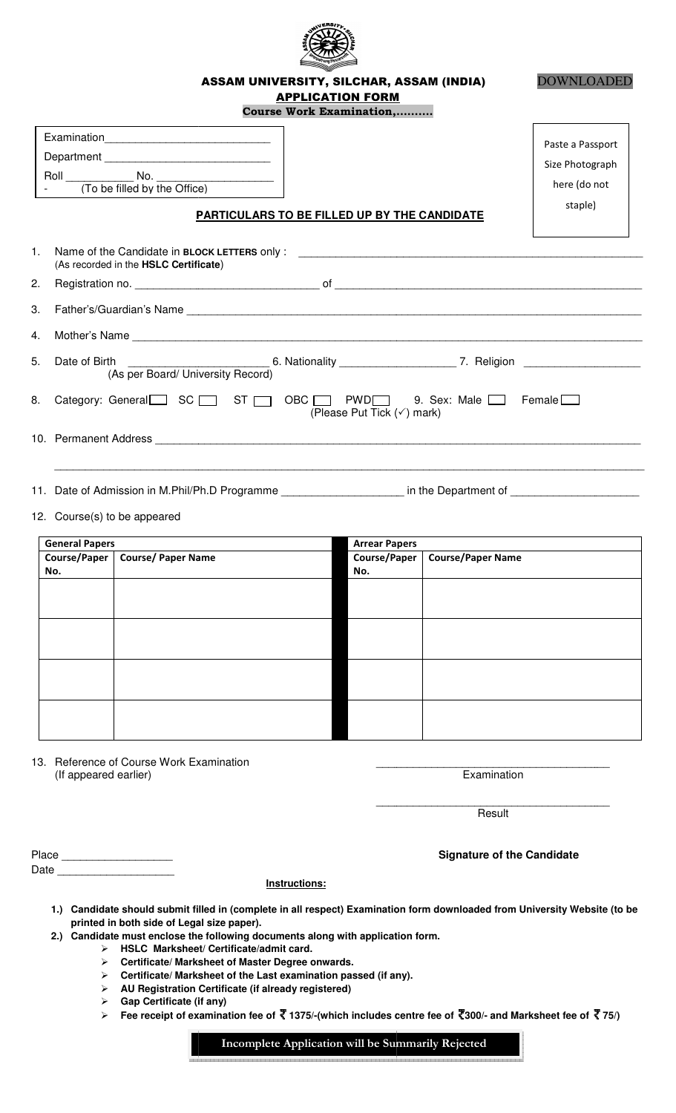

## ASSAM UNIVERSITY, SILCHAR, ASSAM (INDIA) DOWNLOADED APPLICATION FORM

DOWNLOADED

**Course Work Examination,………. ……….** 

|                                                              | Department<br>(To be filled by the Office)                                                                                                                                                                                                                  |                                                     |                                   | Paste a Passport<br>Size Photograph<br>here (do not |
|--------------------------------------------------------------|-------------------------------------------------------------------------------------------------------------------------------------------------------------------------------------------------------------------------------------------------------------|-----------------------------------------------------|-----------------------------------|-----------------------------------------------------|
|                                                              |                                                                                                                                                                                                                                                             | <b>PARTICULARS TO BE FILLED UP BY THE CANDIDATE</b> |                                   | staple)                                             |
| 1.                                                           | (As recorded in the HSLC Certificate)                                                                                                                                                                                                                       |                                                     |                                   |                                                     |
| 2.                                                           |                                                                                                                                                                                                                                                             |                                                     |                                   |                                                     |
| 3.                                                           |                                                                                                                                                                                                                                                             |                                                     |                                   |                                                     |
| 4.                                                           |                                                                                                                                                                                                                                                             |                                                     |                                   |                                                     |
| 5.<br>Date of Birth                                          |                                                                                                                                                                                                                                                             |                                                     |                                   |                                                     |
|                                                              | 8. Category: General SC SC ST G OBC PWD 9. Sex: Male T Female                                                                                                                                                                                               | (Please Put Tick (√) mark)                          |                                   |                                                     |
|                                                              |                                                                                                                                                                                                                                                             |                                                     |                                   |                                                     |
|                                                              | the control of the control of the control of the control of the control of the control of<br>11. Date of Admission in M.Phil/Ph.D Programme _____________________ in the Department of ____________________                                                 |                                                     |                                   |                                                     |
| 12. Course(s) to be appeared                                 |                                                                                                                                                                                                                                                             |                                                     |                                   |                                                     |
| <b>General Papers</b><br>No.                                 | Course/Paper   Course/ Paper Name                                                                                                                                                                                                                           | <b>Arrear Papers</b><br>No.                         | Course/Paper   Course/Paper Name  |                                                     |
|                                                              |                                                                                                                                                                                                                                                             |                                                     |                                   |                                                     |
|                                                              |                                                                                                                                                                                                                                                             |                                                     |                                   |                                                     |
|                                                              |                                                                                                                                                                                                                                                             |                                                     |                                   |                                                     |
|                                                              |                                                                                                                                                                                                                                                             |                                                     |                                   |                                                     |
|                                                              |                                                                                                                                                                                                                                                             |                                                     |                                   |                                                     |
|                                                              |                                                                                                                                                                                                                                                             |                                                     |                                   |                                                     |
|                                                              |                                                                                                                                                                                                                                                             |                                                     |                                   |                                                     |
| (If appeared earlier)                                        | 13. Reference of Course Work Examination                                                                                                                                                                                                                    |                                                     | Examination                       |                                                     |
|                                                              |                                                                                                                                                                                                                                                             |                                                     | Result                            |                                                     |
| Place ________________________<br>Date _____________________ |                                                                                                                                                                                                                                                             |                                                     | <b>Signature of the Candidate</b> |                                                     |
|                                                              |                                                                                                                                                                                                                                                             | Instructions:                                       |                                   |                                                     |
|                                                              | 1.) Candidate should submit filled in (complete in all respect) Examination form downloaded from University Website (to be<br>printed in both side of Legal size paper).<br>2.) Candidate must enclose the following documents along with application form. |                                                     |                                   |                                                     |
|                                                              | $\triangleright$ HSLC Marksheet/ Certificate/admit card.                                                                                                                                                                                                    |                                                     |                                   |                                                     |
|                                                              | > Certificate/ Marksheet of Master Degree onwards.<br>$\triangleright$ Certificate/ Marksheet of the Last examination passed (if any).                                                                                                                      |                                                     |                                   |                                                     |
| ➤                                                            | > AU Registration Certificate (if already registered)<br>$\triangleright$ Gap Certificate (if any)<br>Fee receipt of examination fee of $\overline{5}$ 1375/-(which includes centre fee of $\overline{5}$ 300/- and Marksheet fee of $\overline{5}$ 75/)    |                                                     |                                   |                                                     |
|                                                              |                                                                                                                                                                                                                                                             |                                                     |                                   |                                                     |